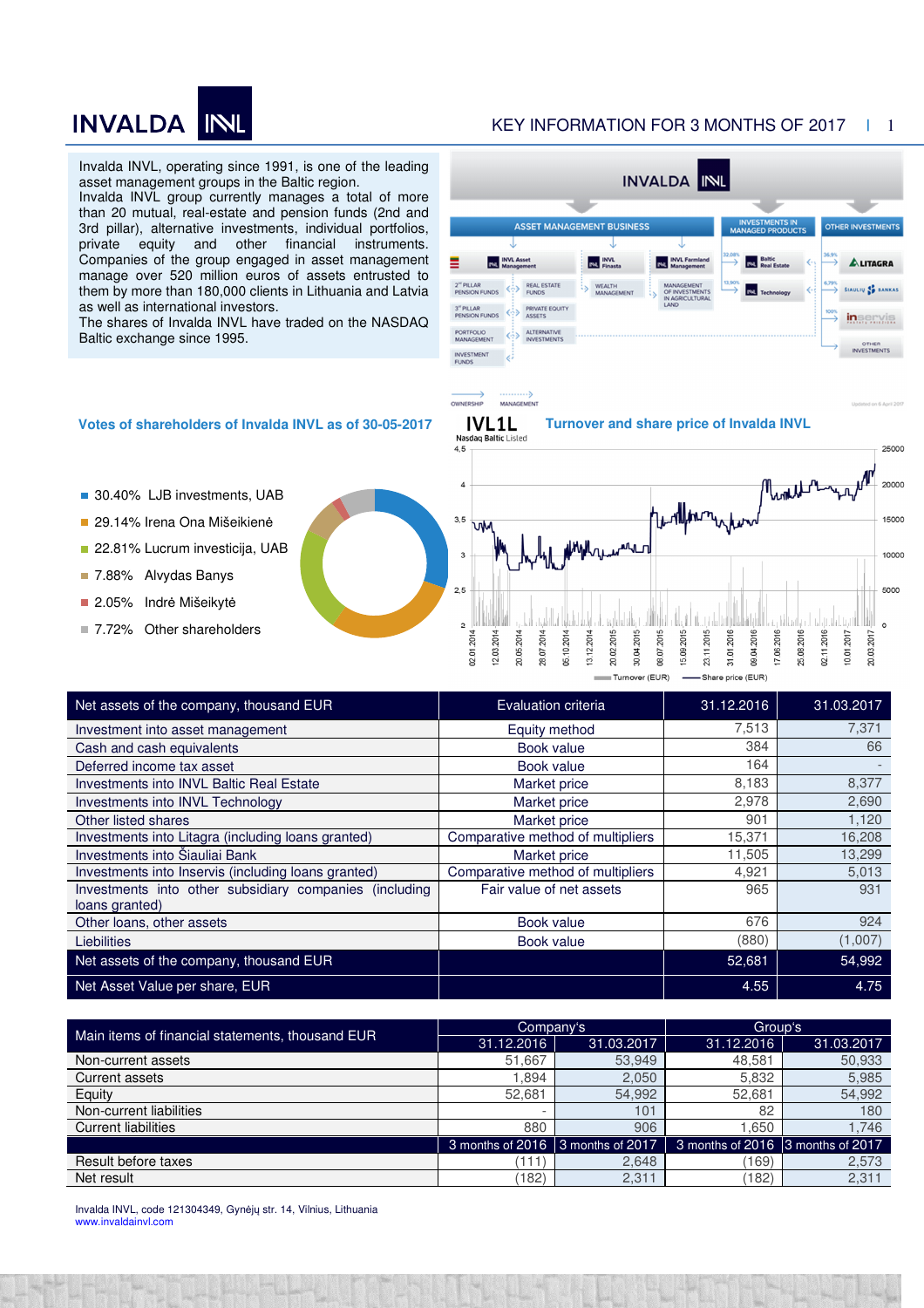# **INVALDA NU**

## KEY INFORMATION FOR 3 MONTHS OF 2017 **|** 1

Invalda INVL, operating since 1991, is one of the leading asset management groups in the Baltic region.

Invalda INVL group currently manages a total of more than 20 mutual, real-estate and pension funds (2nd and 3rd pillar), alternative investments, individual portfolios, private equity and other financial instruments. Companies of the group engaged in asset management manage over 520 million euros of assets entrusted to them by more than 180,000 clients in Lithuania and Latvia as well as international investors.

The shares of Invalda INVL have traded on the NASDAQ Baltic exchange since 1995.

### **INVALDA INL ASSET MANAGEMENT BUSINESS INVEST OTHER INVESTMENTS INVL Asset INVL**<br>**ENL**<br>Finas INVL Fa **ALITAGRA** ≡  $2^{\prime\prime}$  PILLAR WEALTH REAL ESTATE SIAULIŲ SO BANKAS PRIVATE EQUITY<br>ASSETS 3<sup>"</sup> PILLAR<br>PENSION FUNDS دنها *inservis* ALTERNATIVE  $\leftrightarrow$ OTHER<br>INVESTMENTS INVESTMENT  $\mathcal{L}$

- 30.40% LJB investments, UAB
- **29.14% Irena Ona Mišeikienė**
- 22.81% Lucrum investicija, UAB
- 7.88% Alvydas Banys
- 2.05% Indrė Mišeikytė
- **7.72% Other shareholders**





| Net assets of the company, thousand EUR                                  | Evaluation criteria               |        | 31.03.2017 |
|--------------------------------------------------------------------------|-----------------------------------|--------|------------|
| Investment into asset management                                         | Equity method                     | 7,513  | 7,371      |
| Cash and cash equivalents                                                | Book value                        | 384    | 66         |
| Deferred income tax asset                                                | Book value                        | 164    |            |
| Investments into INVL Baltic Real Estate                                 | Market price                      | 8,183  | 8,377      |
| Investments into INVL Technology                                         | Market price                      | 2,978  | 2,690      |
| Other listed shares                                                      | Market price                      | 901    | 1,120      |
| Investments into Litagra (including loans granted)                       | Comparative method of multipliers | 15,371 | 16,208     |
| Investments into Šiauliai Bank                                           | Market price                      | 11,505 | 13,299     |
| Investments into Inservis (including loans granted)                      | Comparative method of multipliers | 4,921  | 5,013      |
| Investments into other subsidiary companies (including<br>loans granted) | Fair value of net assets          | 965    | 931        |
| Other loans, other assets                                                | Book value                        | 676    | 924        |
| Liebilities                                                              | Book value                        | (880)  | (1,007)    |
| Net assets of the company, thousand EUR                                  |                                   | 52,681 | 54,992     |
| Net Asset Value per share, EUR                                           |                                   | 4.55   | 4.75       |

MANAGEMENT

OWNERSHIP

| Main items of financial statements, thousand EUR | Company's                         |            | Group's                           |            |
|--------------------------------------------------|-----------------------------------|------------|-----------------------------------|------------|
|                                                  | 31.12.2016                        | 31.03.2017 | 31.12.2016                        | 31.03.2017 |
| Non-current assets                               | 51.667                            | 53,949     | 48,581                            | 50,933     |
| Current assets                                   | .894                              | 2,050      | 5,832                             | 5,985      |
| Equity                                           | 52.681                            | 54.992     | 52.681                            | 54,992     |
| Non-current liabilities                          |                                   | 101        | 82                                | 180        |
| <b>Current liabilities</b>                       | 880                               | 906        | 1.650                             | 1.746      |
|                                                  | 3 months of 2016 3 months of 2017 |            | 3 months of 2016 3 months of 2017 |            |
| Result before taxes                              | (111)                             | 2,648      | (169)                             | 2,573      |
| Net result                                       | 182)                              | 2,311      | 182                               | 2,311      |

Invalda INVL, code 121304349, Gynėjų str. 14, Vilnius, Lithuania www.invaldainvl.com